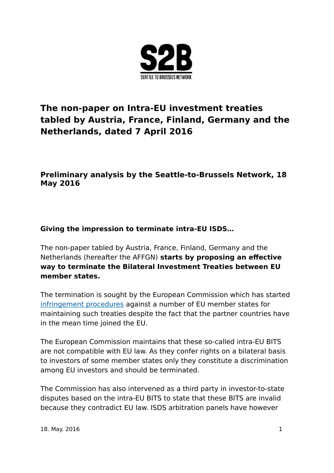

# **The non-paper on Intra-EU investment treaties tabled by Austria, France, Finland, Germany and the Netherlands, dated 7 April 2016**

# **Preliminary analysis by the Seattle-to-Brussels Network, 18 May 2016**

# **Giving the impression to terminate intra-EU ISDS…**

The non-paper tabled by Austria, France, Finland, Germany and the Netherlands (hereafter the AFFGN) **starts by proposing an effective way to terminate the Bilateral Investment Treaties between EU member states.** 

The termination is sought by the European Commission which has started [infringement procedures](http://europa.eu/rapid/press-release_IP-15-5198_en.htm) against a number of EU member states for maintaining such treaties despite the fact that the partner countries have in the mean time joined the EU.

The European Commission maintains that these so-called intra-EU BITS are not compatible with EU law. As they confer rights on a bilateral basis to investors of some member states only they constitute a discrimination among EU investors and should be terminated.

The Commission has also intervened as a third party in investor-to-state disputes based on the intra-EU BITS to state that these BITS are invalid because they contradict EU law. ISDS arbitration panels have however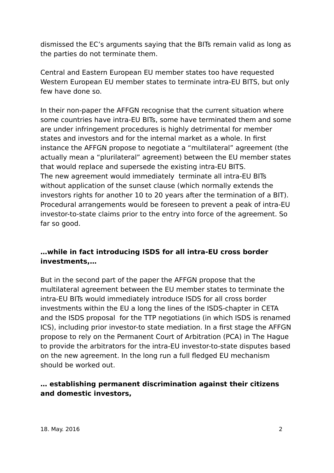dismissed the EC's arguments saying that the BITs remain valid as long as the parties do not terminate them.

Central and Eastern European EU member states too have requested Western European EU member states to terminate intra-EU BITS, but only few have done so.

In their non-paper the AFFGN recognise that the current situation where some countries have intra-EU BITs, some have terminated them and some are under infringement procedures is highly detrimental for member states and investors and for the internal market as a whole. In first instance the AFFGN propose to negotiate a "multilateral" agreement (the actually mean a "plurilateral" agreement) between the EU member states that would replace and supersede the existing intra-EU BITS. The new agreement would immediately terminate all intra-EU BITs without application of the sunset clause (which normally extends the investors rights for another 10 to 20 years after the termination of a BIT). Procedural arrangements would be foreseen to prevent a peak of intra-EU investor-to-state claims prior to the entry into force of the agreement. So far so good.

## **…while in fact introducing ISDS for all intra-EU cross border investments,…**

But in the second part of the paper the AFFGN propose that the multilateral agreement between the EU member states to terminate the intra-EU BITs would immediately introduce ISDS for all cross border investments within the EU a long the lines of the ISDS-chapter in CETA and the ISDS proposal for the TTP negotiations (in which ISDS is renamed ICS), including prior investor-to state mediation. In a first stage the AFFGN propose to rely on the Permanent Court of Arbitration (PCA) in The Hague to provide the arbitrators for the intra-EU investor-to-state disputes based on the new agreement. In the long run a full fledged EU mechanism should be worked out.

## **… establishing permanent discrimination against their citizens and domestic investors,**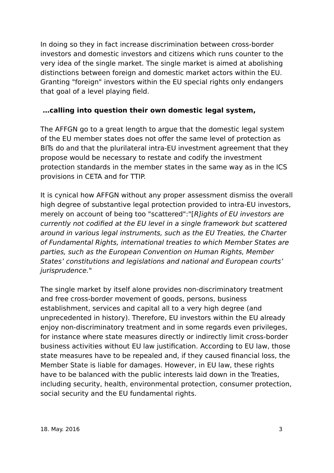In doing so they in fact increase discrimination between cross-border investors and domestic investors and citizens which runs counter to the very idea of the single market. The single market is aimed at abolishing distinctions between foreign and domestic market actors within the EU. Granting "foreign" investors within the EU special rights only endangers that goal of a level playing field.

#### **…calling into question their own domestic legal system,**

The AFFGN go to a great length to argue that the domestic legal system of the EU member states does not offer the same level of protection as BITs do and that the plurilateral intra-EU investment agreement that they propose would be necessary to restate and codify the investment protection standards in the member states in the same way as in the ICS provisions in CETA and for TTIP.

It is cynical how AFFGN without any proper assessment dismiss the overall high degree of substantive legal protection provided to intra-EU investors, merely on account of being too "scattered":"[R]ights of EU investors are currently not codified at the EU level in a single framework but scattered around in various legal instruments, such as the EU Treaties, the Charter of Fundamental Rights, international treaties to which Member States are parties, such as the European Convention on Human Rights, Member States' constitutions and legislations and national and European courts' jurisprudence."

The single market by itself alone provides non-discriminatory treatment and free cross-border movement of goods, persons, business establishment, services and capital all to a very high degree (and unprecedented in history). Therefore, EU investors within the EU already enjoy non-discriminatory treatment and in some regards even privileges, for instance where state measures directly or indirectly limit cross-border business activities without EU law justification. According to EU law, those state measures have to be repealed and, if they caused financial loss, the Member State is liable for damages. However, in EU law, these rights have to be balanced with the public interests laid down in the Treaties, including security, health, environmental protection, consumer protection, social security and the EU fundamental rights.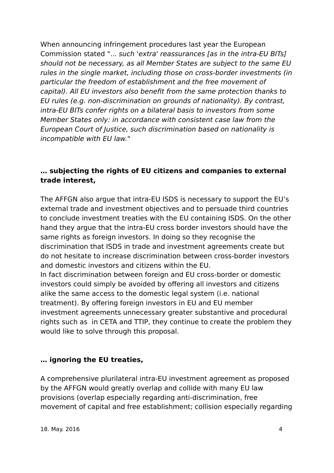When announcing infringement procedures last year the European Commission stated "... such 'extra' reassurances [as in the intra-EU BITs] should not be necessary, as all Member States are subject to the same EU rules in the single market, including those on cross-border investments (in particular the freedom of establishment and the free movement of capital). All EU investors also benefit from the same protection thanks to EU rules (e.g. non-discrimination on grounds of nationality). By contrast, intra-EU BITs confer rights on a bilateral basis to investors from some Member States only: in accordance with consistent case law from the European Court of Justice, such discrimination based on nationality is incompatible with EU law."

#### **… subjecting the rights of EU citizens and companies to external trade interest,**

The AFFGN also argue that intra-EU ISDS is necessary to support the EU's external trade and investment objectives and to persuade third countries to conclude investment treaties with the EU containing ISDS. On the other hand they argue that the intra-EU cross border investors should have the same rights as foreign investors. In doing so they recognise the discrimination that ISDS in trade and investment agreements create but do not hesitate to increase discrimination between cross-border investors and domestic investors and citizens within the EU.

In fact discrimination between foreign and EU cross-border or domestic investors could simply be avoided by offering all investors and citizens alike the same access to the domestic legal system (i.e. national treatment). By offering foreign investors in EU and EU member investment agreements unnecessary greater substantive and procedural rights such as in CETA and TTIP, they continue to create the problem they would like to solve through this proposal.

## **… ignoring the EU treaties,**

A comprehensive plurilateral intra-EU investment agreement as proposed by the AFFGN would greatly overlap and collide with many EU law provisions (overlap especially regarding anti-discrimination, free movement of capital and free establishment; collision especially regarding